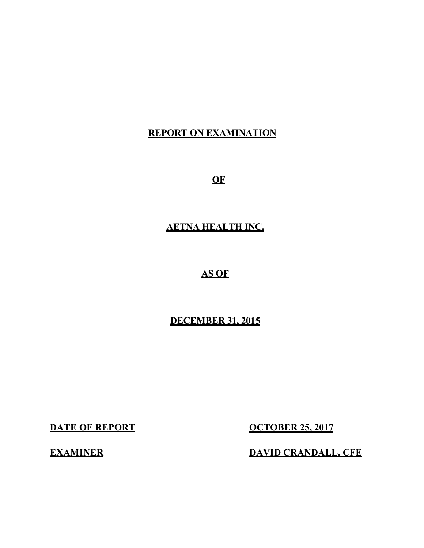## **REPORT ON EXAMINATION**

**OF** 

## **AETNA HEALTH INC.**

# **AS OF**

## **DECEMBER 31, 2015**

**DATE OF REPORT** 

**OCTOBER 25, 2017** 

**EXAMINER** DAVID CRANDALL, CFE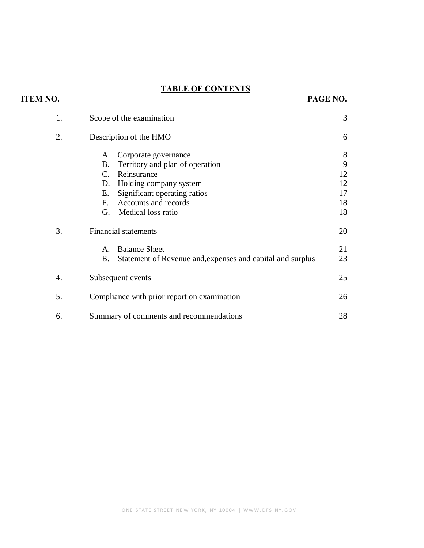# **TABLE OF CONTENTS**

**ITEM NO.** 

| 1. | Scope of the examination                                                                                                                                                                                                 | 3                                    |
|----|--------------------------------------------------------------------------------------------------------------------------------------------------------------------------------------------------------------------------|--------------------------------------|
| 2. | Description of the HMO                                                                                                                                                                                                   | 6                                    |
|    | Corporate governance<br>A.<br>Territory and plan of operation<br>Β.<br>Reinsurance<br>C.<br>Holding company system<br>D.<br>Significant operating ratios<br>Е.<br>Accounts and records<br>F.<br>Medical loss ratio<br>G. | 8<br>9<br>12<br>12<br>17<br>18<br>18 |
| 3. | <b>Financial statements</b>                                                                                                                                                                                              | 20                                   |
|    | <b>Balance Sheet</b><br>$\mathsf{A}$ .<br>Statement of Revenue and, expenses and capital and surplus<br><b>B.</b>                                                                                                        | 21<br>23                             |
| 4. | Subsequent events                                                                                                                                                                                                        | 25                                   |
| 5. | Compliance with prior report on examination                                                                                                                                                                              | 26                                   |
| 6. | Summary of comments and recommendations                                                                                                                                                                                  | 28                                   |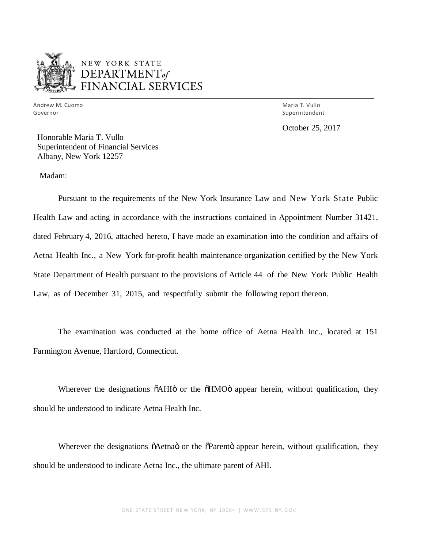

 Andrew M. Cuomo Governor Governor Maria T. Vullo

Superintendent

October 25, 2017

 Honorable Maria T. Vullo Superintendent of Financial Services Albany, New York 12257

Madam:

 Pursuant to the requirements of the New York Insurance Law and New York State Public Health Law and acting in accordance with the instructions contained in Appointment Number 31421, dated February 4, 2016, attached hereto, I have made an examination into the condition and affairs of Aetna Health Inc., a New York for-profit health maintenance organization certified by the New York State Department of Health pursuant to the provisions of Article 44 of the New York Public Health Law, as of December 31, 2015, and respectfully submit the following report thereon.

 The examination was conducted at the home office of Aetna Health Inc., located at 151 Farmington Avenue, Hartford, Connecticut.

Wherever the designations  $\delta$ AHI $\ddot{o}$  or the  $\delta$ HMO $\ddot{o}$  appear herein, without qualification, they should be understood to indicate Aetna Health Inc.

Wherever the designations  $\tilde{o}$ Aetna $\tilde{o}$  or the  $\tilde{o}$ Parent $\tilde{o}$  appear herein, without qualification, they should be understood to indicate Aetna Inc., the ultimate parent of AHI.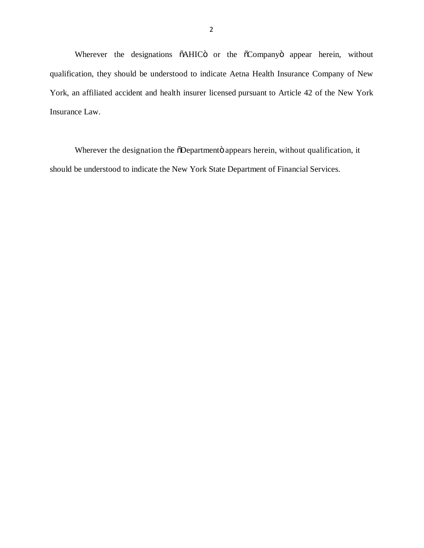Wherever the designations  $\tilde{o}$ AHIC $\tilde{o}$  or the  $\tilde{o}$ Company $\tilde{o}$  appear herein, without qualification, they should be understood to indicate Aetna Health Insurance Company of New York, an affiliated accident and health insurer licensed pursuant to Article 42 of the New York Insurance Law.

Wherever the designation the õDepartmentö appears herein, without qualification, it should be understood to indicate the New York State Department of Financial Services.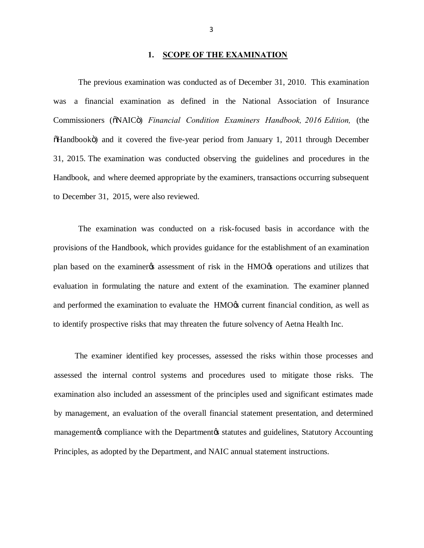#### **1. SCOPE OF THE EXAMINATION**

 The previous examination was conducted as of December 31, 2010. This examination was Commissioners ( $\delta$ NAIC $\ddot{o}$ ) *Financial Condition Examiners Handbook, 2016 Edition,* (the  $\delta$ Handbookö) and it covered the five-year period from January 1, 2011 through December 31, 2015. The examination was conducted observing the guidelines and procedures in the Handbook, and where deemed appropriate by the examiners, transactions occurring subsequent to December 31, 2015, were also reviewed. a financial examination as defined in the National Association of Insurance

 The examination was conducted on a risk-focused basis in accordance with the provisions of the Handbook, which provides guidance for the establishment of an examination plan based on the examiner the assessment of risk in the HMO to operations and utilizes that evaluation in formulating the nature and extent of the examination. The examiner planned and performed the examination to evaluate the HMO $\alpha$ s current financial condition, as well as to identify prospective risks that may threaten the future solvency of Aetna Health Inc.

<span id="page-4-0"></span> The examiner identified key processes, assessed the risks within those processes and assessed the internal control systems and procedures used to mitigate those risks. The examination also included an assessment of the principles used and significant estimates made by management, an evaluation of the overall financial statement presentation, and determined management & compliance with the Department & statutes and guidelines, Statutory Accounting Principles, as adopted by the Department, and NAIC annual statement instructions.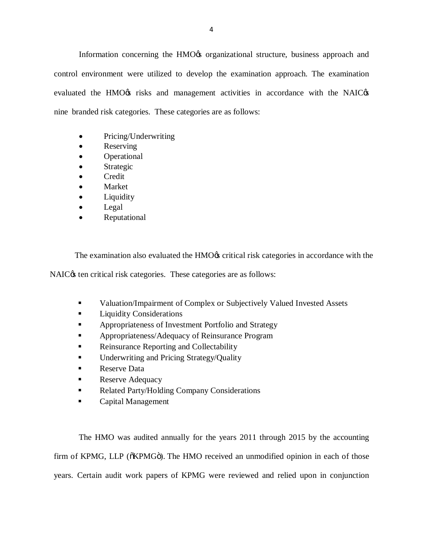Information concerning the HMO% organizational structure, business approach and control environment were utilized to develop the examination approach. The examination evaluated the HMO ts risks and management activities in accordance with the NAIC  $\alpha$ nine branded risk categories. These categories are as follows:

- Pricing/Underwriting
- Reserving
- Operational
- Strategic
- Credit
- **Market**
- **Liquidity**
- Legal
- Reputational

The examination also evaluated the HMO $\alpha$  critical risk categories in accordance with the

NAIC $\alpha$  ten critical risk categories. These categories are as follows:

- Valuation/Impairment of Complex or Subjectively Valued Invested Assets
- **•** Liquidity Considerations
- **Appropriateness of Investment Portfolio and Strategy**
- **Appropriateness/Adequacy of Reinsurance Program**
- Reinsurance Reporting and Collectability
- Underwriting and Pricing Strategy/Quality
- **•** Reserve Data
- Reserve Adequacy
- Related Party/Holding Company Considerations
- **•** Capital Management

 The HMO was audited annually for the years 2011 through 2015 by the accounting firm of KPMG, LLP ( $\tilde{o}$ KPMG $\tilde{o}$ ). The HMO received an unmodified opinion in each of those years. Certain audit work papers of KPMG were reviewed and relied upon in conjunction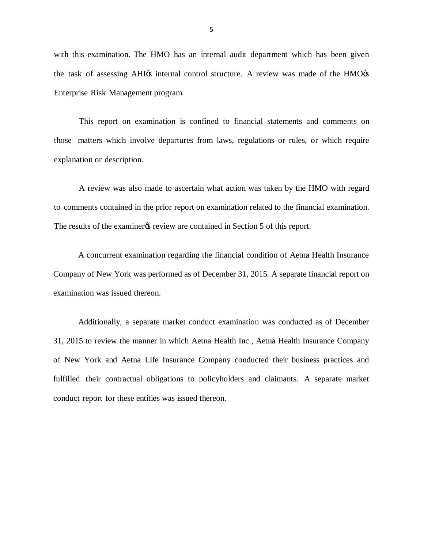with this examination. The HMO has an internal audit department which has been given the task of assessing AHI $\alpha$  internal control structure. A review was made of the HMO $\alpha$ Enterprise Risk Management program.

 This report on examination is confined to financial statements and comments on those matters which involve departures from laws, regulations or rules, or which require explanation or description.

 A review was also made to ascertain what action was taken by the HMO with regard to comments contained in the prior report on examination related to the financial examination. The results of the examiner *i*s review are contained in Section 5 of this report.

 A concurrent examination regarding the financial condition of Aetna Health Insurance Company of New York was performed as of December 31, 2015. A separate financial report on examination was issued thereon.

 Additionally, a separate market conduct examination was conducted as of December 31, 2015 to review the manner in which Aetna Health Inc., Aetna Health Insurance Company of New York and Aetna Life Insurance Company conducted their business practices and fulfilled their contractual obligations to policyholders and claimants. A separate market conduct report for these entities was issued thereon.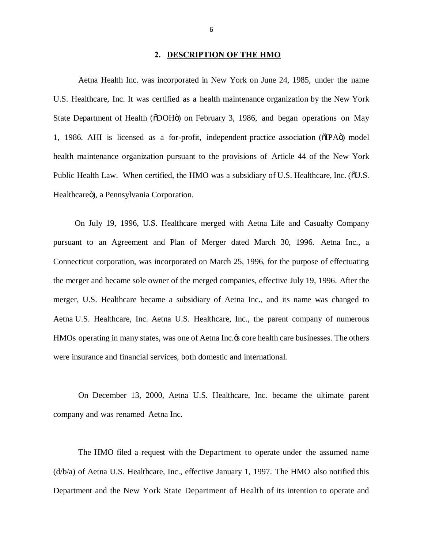#### **2. DESCRIPTION OF THE HMO**

 Aetna Health Inc. was incorporated in New York on June 24, 1985, under the name U.S. Healthcare, Inc. It was certified as a health maintenance organization by the New York State Department of Health ( $\ddot{\text{o}}$ DOH $\ddot{\text{o}}$ ) on February 3, 1986, and began operations on May 1, 1986. AHI is licensed as a for-profit, independent practice association (oIPAo) model health maintenance organization pursuant to the provisions of Article 44 of the New York Public Health Law. When certified, the HMO was a subsidiary of U.S. Healthcare, Inc. ( $\delta$ U.S. Healthcareö), a Pennsylvania Corporation.

 On July 19, 1996, U.S. Healthcare merged with Aetna Life and Casualty Company pursuant to an Agreement and Plan of Merger dated March 30, 1996. Aetna Inc., a Connecticut corporation, was incorporated on March 25, 1996, for the purpose of effectuating the merger and became sole owner of the merged companies, effective July 19, 1996. After the merger, U.S. Healthcare became a subsidiary of Aetna Inc., and its name was changed to Aetna U.S. Healthcare, Inc. Aetna U.S. Healthcare, Inc., the parent company of numerous HMOs operating in many states, was one of Aetna Inc.  $\alpha$  core health care businesses. The others were insurance and financial services, both domestic and international.

<span id="page-7-0"></span> On December 13, 2000, Aetna U.S. Healthcare, Inc. became the ultimate parent company and was renamed Aetna Inc.

 The HMO filed a request with the Department to operate under the assumed name (d/b/a) of Aetna U.S. Healthcare, Inc., effective January 1, 1997. The HMO also notified this Department and the New York State Department of Health of its intention to operate and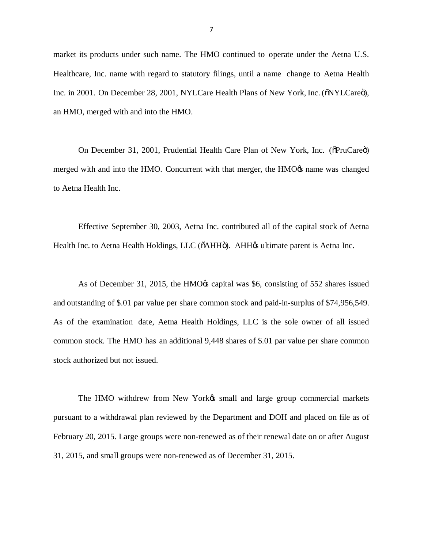market its products under such name. The HMO continued to operate under the Aetna U.S. Healthcare, Inc. name with regard to statutory filings, until a name change to Aetna Health Inc. in 2001. On December 28, 2001, NYLCare Health Plans of New York, Inc. ( $\delta NYLCare$ ), an HMO, merged with and into the HMO.

On December 31, 2001, Prudential Health Care Plan of New York, Inc. (õPruCareö) merged with and into the HMO. Concurrent with that merger, the HMO $\alpha$  name was changed to Aetna Health Inc.

 Effective September 30, 2003, Aetna Inc. contributed all of the capital stock of Aetna Health Inc. to Aetna Health Holdings, LLC (õAHHö). AHH $\alpha$  ultimate parent is Aetna Inc.

As of December 31, 2015, the HMO $\alpha$  capital was \$6, consisting of 552 shares issued and outstanding of \$.01 par value per share common stock and paid-in-surplus of \$74,956,549. As of the examination date, Aetna Health Holdings, LLC is the sole owner of all issued common stock. The HMO has an additional 9,448 shares of \$.01 par value per share common stock authorized but not issued.

The HMO withdrew from New Yorkøs small and large group commercial markets pursuant to a withdrawal plan reviewed by the Department and DOH and placed on file as of February 20, 2015. Large groups were non-renewed as of their renewal date on or after August 31, 2015, and small groups were non-renewed as of December 31, 2015.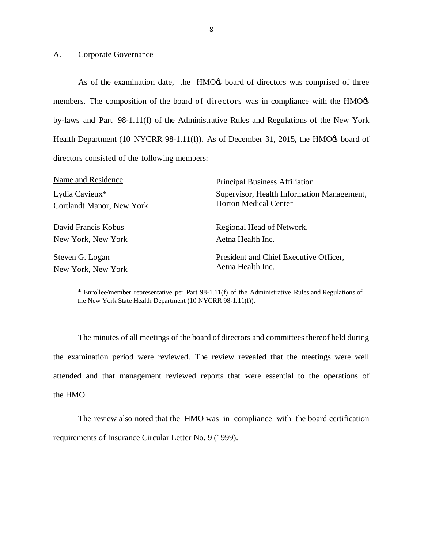#### A. Corporate Governance

As of the examination date, the HMO $\alpha$  board of directors was comprised of three members. The composition of the board of directors was in compliance with the HMO $\alpha$  by-laws and Part 98-1.11(f) of the Administrative Rules and Regulations of the New York Health Department (10 NYCRR 98-1.11(f)). As of December 31, 2015, the HMO $\alpha$  board of directors consisted of the following members:

| Name and Residence                          | <b>Principal Business Affiliation</b>                                      |  |  |
|---------------------------------------------|----------------------------------------------------------------------------|--|--|
| Lydia Cavieux*<br>Cortlandt Manor, New York | Supervisor, Health Information Management,<br><b>Horton Medical Center</b> |  |  |
|                                             |                                                                            |  |  |
| David Francis Kobus                         | Regional Head of Network,                                                  |  |  |
| New York, New York                          | Aetna Health Inc.                                                          |  |  |
| Steven G. Logan                             | President and Chief Executive Officer,                                     |  |  |
| New York, New York                          | Aetna Health Inc.                                                          |  |  |

 \* Enrollee/member representative per Part 98-1.11(f) of the Administrative Rules and Regulations of the New York State Health Department (10 NYCRR 98-1.11(f)).

 The minutes of all meetings of the board of directors and committees thereof held during the examination period were reviewed. The review revealed that the meetings were well attended and that management reviewed reports that were essential to the operations of the HMO.

<span id="page-9-0"></span> The review also noted that the HMO was in compliance with the board certification requirements of Insurance Circular Letter No. 9 (1999).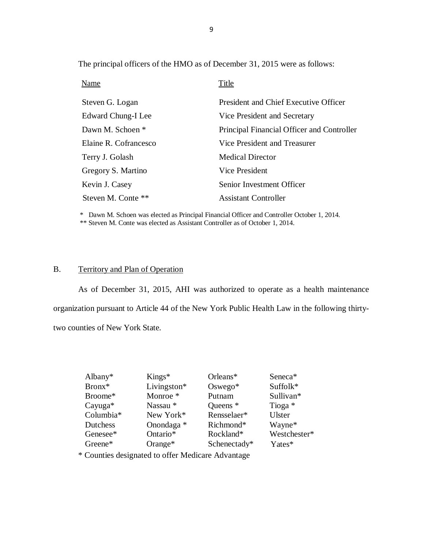The principal officers of the HMO as of December 31, 2015 were as follows:

| <b>Name</b>           | Title                                      |
|-----------------------|--------------------------------------------|
| Steven G. Logan       | President and Chief Executive Officer      |
| Edward Chung-I Lee    | Vice President and Secretary               |
| Dawn M. Schoen *      | Principal Financial Officer and Controller |
| Elaine R. Cofrancesco | Vice President and Treasurer               |
| Terry J. Golash       | <b>Medical Director</b>                    |
| Gregory S. Martino    | Vice President                             |
| Kevin J. Casey        | Senior Investment Officer                  |
| Steven M. Conte **    | <b>Assistant Controller</b>                |

 \* Dawn M. Schoen was elected as Principal Financial Officer and Controller October 1, 2014. \*\* Steven M. Conte was elected as Assistant Controller as of October 1, 2014.

#### B. Territory and Plan of Operation

 As of December 31, 2015, AHI was authorized to operate as a health maintenance organization pursuant to Article 44 of the New York Public Health Law in the following thirty-two counties of New York State.

| Albany $*$ | $Kings*$            | Orleans*     | Seneca*       |
|------------|---------------------|--------------|---------------|
| Bronx*     | Livingston*         | $Oswego*$    | Suffolk*      |
| Broome*    | Monroe <sup>*</sup> | Putnam       | Sullivan*     |
| $Cayuga*$  | Nassau *            | Queens $*$   | Tioga *       |
| Columbia*  | New York*           | Rensselaer*  | <b>Ulster</b> |
| Dutchess   | Onondaga *          | Richmond*    | Wayne*        |
| Genesee*   | Ontario*            | Rockland*    | Westchester*  |
| Greene*    | Orange $*$          | Schenectady* | Yates*        |

<span id="page-10-0"></span>\* Counties designated to offer Medicare Advantage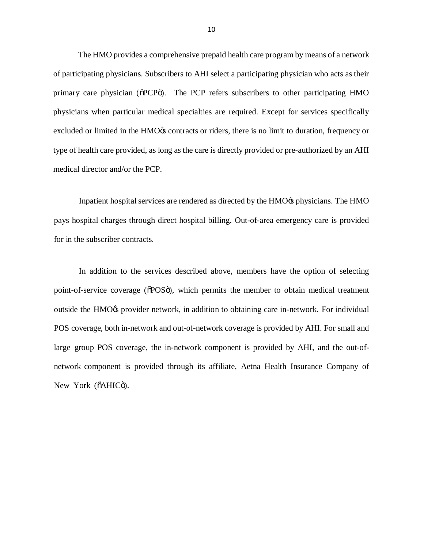The HMO provides a comprehensive prepaid health care program by means of a network of participating physicians. Subscribers to AHI select a participating physician who acts as their primary care physician (oPCPo). The PCP refers subscribers to other participating HMO physicians when particular medical specialties are required. Except for services specifically excluded or limited in the HMO% contracts or riders, there is no limit to duration, frequency or type of health care provided, as long as the care is directly provided or pre-authorized by an AHI medical director and/or the PCP.

Inpatient hospital services are rendered as directed by the HMO $\alpha$  physicians. The HMO pays hospital charges through direct hospital billing. Out-of-area emergency care is provided for in the subscriber contracts.

 In addition to the services described above, members have the option of selecting point-of-service coverage ( $\delta$ POS $\ddot{o}$ ), which permits the member to obtain medical treatment outside the HMO<sub>G</sub> provider network, in addition to obtaining care in-network. For individual POS coverage, both in-network and out-of-network coverage is provided by AHI. For small and large group POS coverage, the in-network component is provided by AHI, and the out-of- network component is provided through its affiliate, Aetna Health Insurance Company of New York (õAHICö).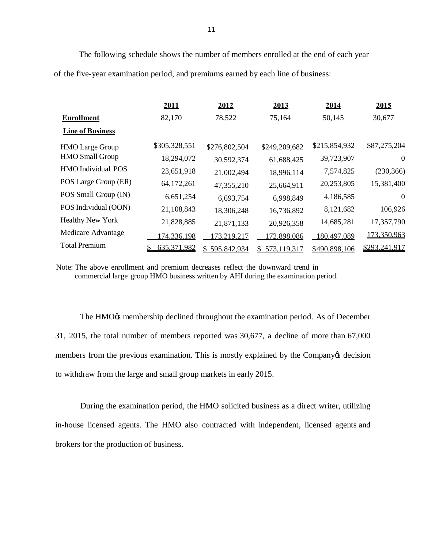The following schedule shows the number of members enrolled at the end of each year of the five-year examination period, and premiums earned by each line of business:

|                         | 2011          | 2012              | 2013          | 2014          | 2015           |
|-------------------------|---------------|-------------------|---------------|---------------|----------------|
| <b>Enrollment</b>       | 82,170        | 78,522            | 75,164        | 50,145        | 30,677         |
| <b>Line of Business</b> |               |                   |               |               |                |
| <b>HMO</b> Large Group  | \$305,328,551 | \$276,802,504     | \$249,209,682 | \$215,854,932 | \$87,275,204   |
| <b>HMO</b> Small Group  | 18,294,072    | 30,592,374        | 61,688,425    | 39,723,907    | $\overline{0}$ |
| HMO Individual POS      | 23,651,918    | 21,002,494        | 18,996,114    | 7,574,825     | (230, 366)     |
| POS Large Group (ER)    | 64,172,261    | 47,355,210        | 25,664,911    | 20,253,805    | 15,381,400     |
| POS Small Group (IN)    | 6,651,254     | 6,693,754         | 6,998,849     | 4,186,585     | $\overline{0}$ |
| POS Individual (OON)    | 21,108,843    | 18,306,248        | 16,736,892    | 8,121,682     | 106,926        |
| <b>Healthy New York</b> | 21,828,885    | 21,871,133        | 20,926,358    | 14,685,281    | 17,357,790     |
| Medicare Advantage      | 174,336,198   | 173,219,217       | 172,898,086   | 180,497,089   | 173,350,963    |
| <b>Total Premium</b>    | 635,371,982   | 595,842,934<br>\$ | 573,119,317   | \$490,898,106 | \$293,241,917  |

Note: The above enrollment and premium decreases reflect the downward trend in commercial large group HMO business written by AHI during the examination period.

The HMO $\alpha$ s membership declined throughout the examination period. As of December 31, 2015, the total number of members reported was 30,677, a decline of more than 67,000 members from the previous examination. This is mostly explained by the Company os decision to withdraw from the large and small group markets in early 2015.

 During the examination period, the HMO solicited business as a direct writer, utilizing in-house licensed agents. The HMO also contracted with independent, licensed agents and brokers for the production of business.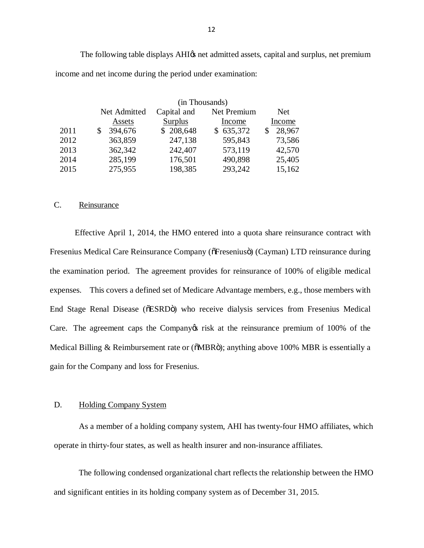The following table displays AHI $\alpha$  net admitted assets, capital and surplus, net premium income and net income during the period under examination:

|      | (in Thousands) |                            |                |        |
|------|----------------|----------------------------|----------------|--------|
|      | Net Admitted   | Capital and<br>Net Premium |                |        |
|      | Assets         | <b>Surplus</b>             | Income         | Income |
| 2011 | 394,676<br>\$  | \$208,648                  | 635,372<br>\$. | 28,967 |
| 2012 | 363,859        | 247,138                    | 595,843        | 73,586 |
| 2013 | 362,342        | 242,407                    | 573,119        | 42,570 |
| 2014 | 285,199        | 176,501                    | 490,898        | 25,405 |
| 2015 | 275,955        | 198,385                    | 293,242        | 15,162 |

#### C. Reinsurance

 Effective April 1, 2014, the HMO entered into a quota share reinsurance contract with Fresenius Medical Care Reinsurance Company (õFreseniusö) (Cayman) LTD reinsurance during the examination period. The agreement provides for reinsurance of 100% of eligible medical expenses. This covers a defined set of Medicare Advantage members, e.g., those members with End Stage Renal Disease (õESRDö) who receive dialysis services from Fresenius Medical Care. The agreement caps the Company trisk at the reinsurance premium of 100% of the Medical Billing & Reimbursement rate or (õMBRö); anything above 100% MBR is essentially a gain for the Company and loss for Fresenius.

#### D. Holding Company System

 As a member of a holding company system, AHI has twenty-four HMO affiliates, which operate in thirty-four states, as well as health insurer and non-insurance affiliates.

<span id="page-13-1"></span><span id="page-13-0"></span> The following condensed organizational chart reflects the relationship between the HMO and significant entities in its holding company system as of December 31, 2015.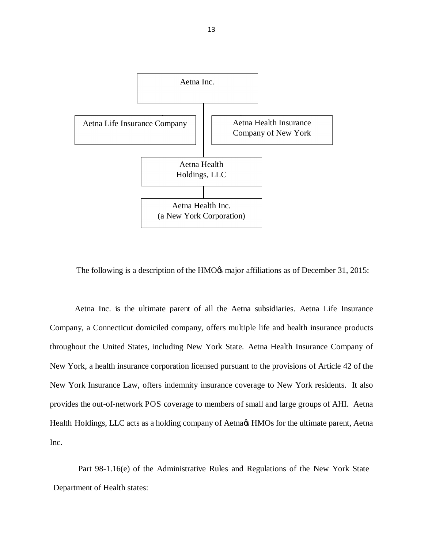

The following is a description of the HMO $\alpha$  major affiliations as of December 31, 2015:

 Aetna Inc. is the ultimate parent of all the Aetna subsidiaries. Aetna Life Insurance Company, a Connecticut domiciled company, offers multiple life and health insurance products throughout the United States, including New York State. Aetna Health Insurance Company of New York, a health insurance corporation licensed pursuant to the provisions of Article 42 of the New York Insurance Law, offers indemnity insurance coverage to New York residents. It also provides the out-of-network POS coverage to members of small and large groups of AHI. Aetna Health Holdings, LLC acts as a holding company of Aetna $\alpha$  HMOs for the ultimate parent, Aetna Inc.

 Part 98-1.16(e) of the Administrative Rules and Regulations of the New York State Department of Health states: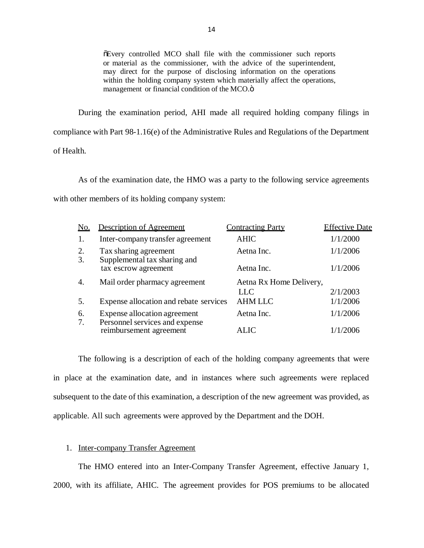"Every controlled MCO shall file with the commissioner such reports or material as the commissioner, with the advice of the superintendent, may direct for the purpose of disclosing information on the operations within the holding company system which materially affect the operations, management or financial condition of the MCO.ö

 During the examination period, AHI made all required holding company filings in compliance with Part 98-1.16(e) of the Administrative Rules and Regulations of the Department of Health.

 As of the examination date, the HMO was a party to the following service agreements with other members of its holding company system:

| No.      | <b>Description of Agreement</b>                           | <b>Contracting Party</b> | <b>Effective Date</b> |
|----------|-----------------------------------------------------------|--------------------------|-----------------------|
| 1.       | Inter-company transfer agreement                          | <b>AHIC</b>              | 1/1/2000              |
| 2.<br>3. | Tax sharing agreement<br>Supplemental tax sharing and     | Aetna Inc.               | 1/1/2006              |
|          | tax escrow agreement                                      | Aetna Inc.               | 1/1/2006              |
| 4.       | Mail order pharmacy agreement                             | Aetna Rx Home Delivery,  |                       |
|          |                                                           | <b>LLC</b>               | 2/1/2003              |
| 5.       | Expense allocation and rebate services                    | <b>AHM LLC</b>           | 1/1/2006              |
| 6.       | Expense allocation agreement                              | Aetna Inc.               | 1/1/2006              |
| 7.       | Personnel services and expense<br>reimbursement agreement | ALIC                     | 1/1/2006              |

 The following is a description of each of the holding company agreements that were in place at the examination date, and in instances where such agreements were replaced subsequent to the date of this examination, a description of the new agreement was provided, as applicable. All such agreements were approved by the Department and the DOH.

#### 1. Inter-company Transfer Agreement

 The HMO entered into an Inter-Company Transfer Agreement, effective January 1, 2000, with its affiliate, AHIC. The agreement provides for POS premiums to be allocated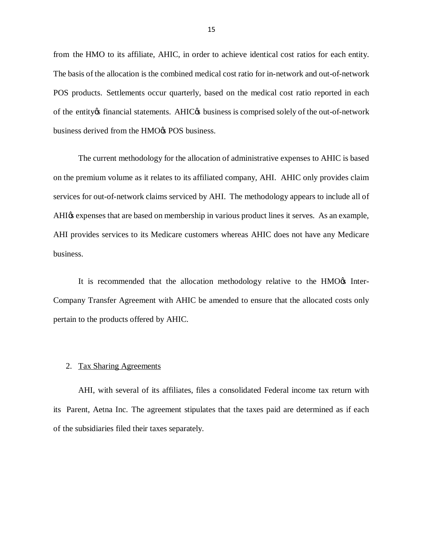from the HMO to its affiliate, AHIC, in order to achieve identical cost ratios for each entity. The basis of the allocation is the combined medical cost ratio for in-network and out-of-network POS products. Settlements occur quarterly, based on the medical cost ratio reported in each of the entity os financial statements. AHIC os business is comprised solely of the out-of-network business derived from the HMO $\alpha$  POS business.

 The current methodology for the allocation of administrative expenses to AHIC is based on the premium volume as it relates to its affiliated company, AHI. AHIC only provides claim services for out-of-network claims serviced by AHI. The methodology appears to include all of AHI $\alpha$  expenses that are based on membership in various product lines it serves. As an example, AHI provides services to its Medicare customers whereas AHIC does not have any Medicare business.

It is recommended that the allocation methodology relative to the HMO $\alpha$  Inter- Company Transfer Agreement with AHIC be amended to ensure that the allocated costs only pertain to the products offered by AHIC.

#### 2. Tax Sharing Agreements

 AHI, with several of its affiliates, files a consolidated Federal income tax return with its Parent, Aetna Inc. The agreement stipulates that the taxes paid are determined as if each of the subsidiaries filed their taxes separately.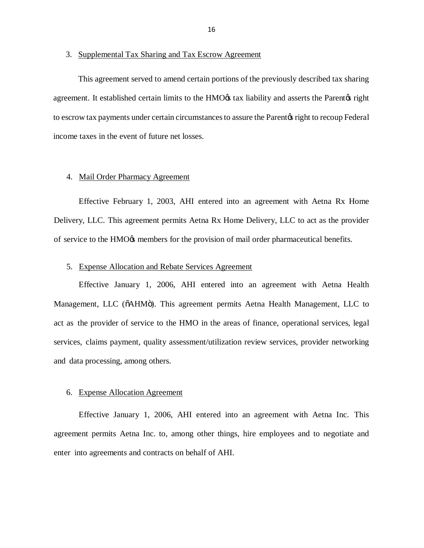#### 3. Supplemental Tax Sharing and Tax Escrow Agreement

 This agreement served to amend certain portions of the previously described tax sharing agreement. It established certain limits to the HMO $\alpha$  tax liability and asserts the Parent $\alpha$  right to escrow tax payments under certain circumstances to assure the Parent os right to recoup Federal income taxes in the event of future net losses.

#### 4. Mail Order Pharmacy Agreement

 Effective February 1, 2003, AHI entered into an agreement with Aetna Rx Home Delivery, LLC. This agreement permits Aetna Rx Home Delivery, LLC to act as the provider of service to the HMO $\alpha$  members for the provision of mail order pharmaceutical benefits.

#### 5. Expense Allocation and Rebate Services Agreement

 Effective January 1, 2006, AHI entered into an agreement with Aetna Health Management, LLC (õAHMö). This agreement permits Aetna Health Management, LLC to act as the provider of service to the HMO in the areas of finance, operational services, legal services, claims payment, quality assessment/utilization review services, provider networking and data processing, among others.

#### 6. Expense Allocation Agreement

 Effective January 1, 2006, AHI entered into an agreement with Aetna Inc. This agreement permits Aetna Inc. to, among other things, hire employees and to negotiate and enter into agreements and contracts on behalf of AHI.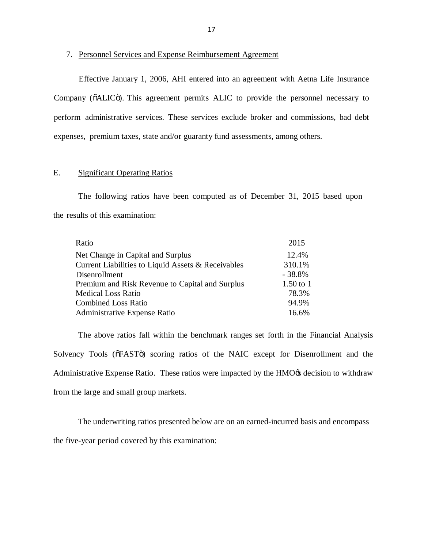#### 7. Personnel Services and Expense Reimbursement Agreement

 Effective January 1, 2006, AHI entered into an agreement with Aetna Life Insurance Company (õALICö). This agreement permits ALIC to provide the personnel necessary to perform administrative services. These services exclude broker and commissions, bad debt expenses, premium taxes, state and/or guaranty fund assessments, among others.

#### E. Significant Operating Ratios

 The following ratios have been computed as of December 31, 2015 based upon the results of this examination:

| 2015        |
|-------------|
| 12.4%       |
| 310.1%      |
| $-38.8\%$   |
| $1.50$ to 1 |
| 78.3%       |
| 94.9%       |
| 16.6%       |
|             |

 The above ratios fall within the benchmark ranges set forth in the Financial Analysis Solvency Tools ( $\delta$ FAST $\ddot{o}$ ) scoring ratios of the NAIC except for Disenrollment and the Administrative Expense Ratio. These ratios were impacted by the HMO $\alpha$  decision to withdraw from the large and small group markets.

<span id="page-18-0"></span> The underwriting ratios presented below are on an earned-incurred basis and encompass the five-year period covered by this examination: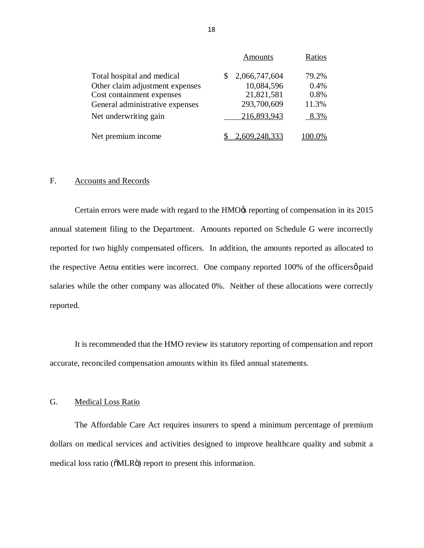|                                 | <b>Amounts</b> | Ratios |
|---------------------------------|----------------|--------|
| Total hospital and medical      | 2,066,747,604  | 79.2%  |
| Other claim adjustment expenses | 10,084,596     | 0.4%   |
| Cost containment expenses       | 21,821,581     | 0.8%   |
| General administrative expenses | 293,700,609    | 11.3%  |
| Net underwriting gain           | 216,893,943    | 8.3%   |
| Net premium income              | 2,609,248,333  |        |

#### $F_{\cdot}$ Accounts and Records

Certain errors were made with regard to the HMO $\alpha$  reporting of compensation in its 2015 annual statement filing to the Department. Amounts reported on Schedule G were incorrectly reported for two highly compensated officers. In addition, the amounts reported as allocated to the respective Aetna entities were incorrect. One company reported 100% of the officersø paid salaries while the other company was allocated 0%. Neither of these allocations were correctly reported.

 It is recommended that the HMO review its statutory reporting of compensation and report accurate, reconciled compensation amounts within its filed annual statements.

#### G. Medical Loss Ratio

<span id="page-19-0"></span> The Affordable Care Act requires insurers to spend a minimum percentage of premium dollars on medical services and activities designed to improve healthcare quality and submit a medical loss ratio ( $\delta MLR\ddot{o}$ ) report to present this information.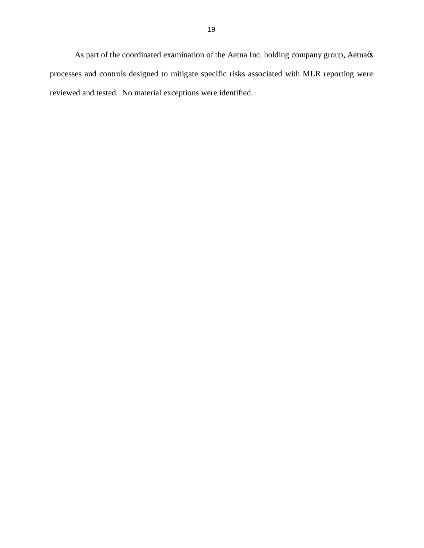reviewed and tested. No material exceptions were identified. As part of the coordinated examination of the Aetna Inc. holding company group, Aetna $\alpha$ processes and controls designed to mitigate specific risks associated with MLR reporting were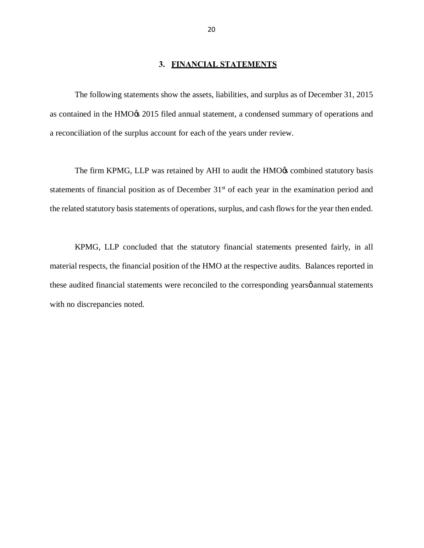#### <span id="page-21-0"></span>**3. FINANCIAL STATEMENTS**

 The following statements show the assets, liabilities, and surplus as of December 31, 2015 as contained in the HMO $\alpha$  2015 filed annual statement, a condensed summary of operations and a reconciliation of the surplus account for each of the years under review.

The firm KPMG, LLP was retained by AHI to audit the HMO $\alpha$  combined statutory basis statements of financial position as of December 31<sup>st</sup> of each year in the examination period and the related statutory basis statements of operations, surplus, and cash flows for the year then ended.

 KPMG, LLP concluded that the statutory financial statements presented fairly, in all material respects, the financial position of the HMO at the respective audits. Balances reported in these audited financial statements were reconciled to the corresponding yearsø annual statements with no discrepancies noted.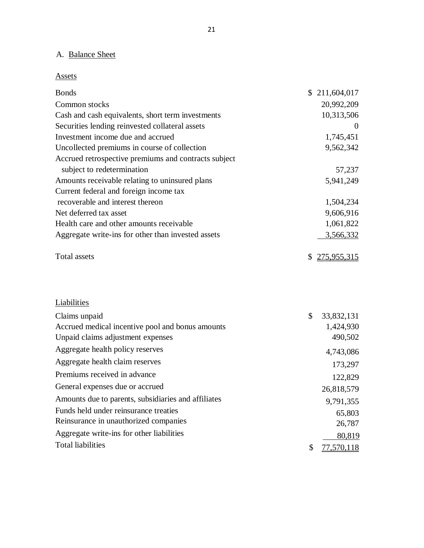#### A. Balance Sheet

Assets

<span id="page-22-0"></span>

| <b>Bonds</b>                                         | \$211,604,017     |
|------------------------------------------------------|-------------------|
| Common stocks                                        | 20,992,209        |
| Cash and cash equivalents, short term investments    | 10,313,506        |
| Securities lending reinvested collateral assets      | $\theta$          |
| Investment income due and accrued                    | 1,745,451         |
| Uncollected premiums in course of collection         | 9,562,342         |
| Accrued retrospective premiums and contracts subject |                   |
| subject to redetermination                           | 57,237            |
| Amounts receivable relating to uninsured plans       | 5,941,249         |
| Current federal and foreign income tax               |                   |
| recoverable and interest thereon                     | 1,504,234         |
| Net deferred tax asset                               | 9,606,916         |
| Health care and other amounts receivable             | 1,061,822         |
| Aggregate write-ins for other than invested assets   | 3,566,332         |
| <b>Total assets</b>                                  | \$<br>275,955,315 |
|                                                      |                   |
| Liabilities                                          |                   |
| Claims unpaid                                        | \$<br>33,832,131  |
| Accrued medical incentive pool and bonus amounts     | 1,424,930         |
| Unpaid claims adjustment expenses                    | 490,502           |
| Aggregate health policy reserves                     | 4,743,086         |
| Aggregate health claim reserves                      | 173,297           |
| Premiums received in advance                         | 122,829           |
| General expenses due or accrued                      | 26,818,579        |
| Amounts due to parents, subsidiaries and affiliates  | 9,791,355         |
| Funds held under reinsurance treaties                | 65,803            |
| Reinsurance in unauthorized companies                | 26,787            |
| Aggregate write-ins for other liabilities            | 80,819            |
| <b>Total liabilities</b>                             | \$<br>77,570,118  |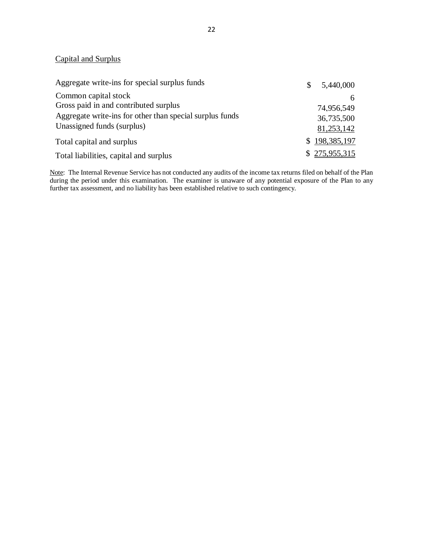#### Capital and Surplus

| Aggregate write-ins for special surplus funds            | S | 5,440,000     |
|----------------------------------------------------------|---|---------------|
| Common capital stock                                     |   | h             |
| Gross paid in and contributed surplus                    |   | 74.956.549    |
| Aggregate write-ins for other than special surplus funds |   | 36,735,500    |
| Unassigned funds (surplus)                               |   | 81,253,142    |
| Total capital and surplus                                |   | \$198,385,197 |
| Total liabilities, capital and surplus                   |   | \$275,955,315 |

 further tax assessment, and no liability has been established relative to such contingency. Note: The Internal Revenue Service has not conducted any audits of the income tax returns filed on behalf of the Plan during the period under this examination. The examiner is unaware of any potential exposure of the Plan to any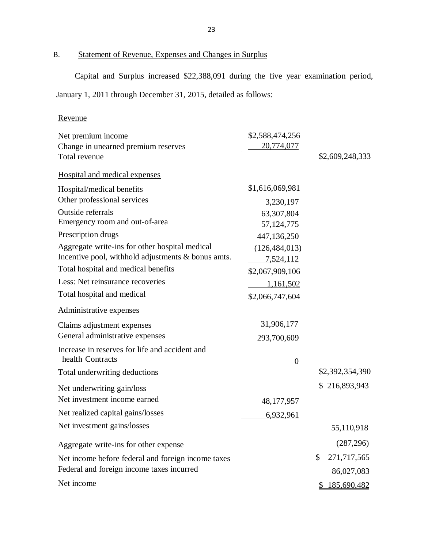#### B. Statement of Revenue, Expenses and Changes in Surplus

Capital and Surplus increased \$22,388,091 during the five year examination period,

January 1, 2011 through December 31, 2015, detailed as follows:

## Revenue

<span id="page-24-0"></span>

| Net premium income                                 | \$2,588,474,256  |                   |
|----------------------------------------------------|------------------|-------------------|
| Change in unearned premium reserves                | 20,774,077       |                   |
| Total revenue                                      |                  | \$2,609,248,333   |
| Hospital and medical expenses                      |                  |                   |
| Hospital/medical benefits                          | \$1,616,069,981  |                   |
| Other professional services                        | 3,230,197        |                   |
| Outside referrals                                  | 63,307,804       |                   |
| Emergency room and out-of-area                     | 57, 124, 775     |                   |
| Prescription drugs                                 | 447,136,250      |                   |
| Aggregate write-ins for other hospital medical     | (126, 484, 013)  |                   |
| Incentive pool, withhold adjustments & bonus amts. | 7,524,112        |                   |
| Total hospital and medical benefits                | \$2,067,909,106  |                   |
| Less: Net reinsurance recoveries                   | 1,161,502        |                   |
| Total hospital and medical                         | \$2,066,747,604  |                   |
| Administrative expenses                            |                  |                   |
| Claims adjustment expenses                         | 31,906,177       |                   |
| General administrative expenses                    | 293,700,609      |                   |
| Increase in reserves for life and accident and     |                  |                   |
| health Contracts                                   | $\boldsymbol{0}$ |                   |
| Total underwriting deductions                      |                  | \$2,392,354,390   |
| Net underwriting gain/loss                         |                  | \$216,893,943     |
| Net investment income earned                       | 48,177,957       |                   |
| Net realized capital gains/losses                  | 6,932,961        |                   |
| Net investment gains/losses                        |                  | 55,110,918        |
| Aggregate write-ins for other expense              |                  | (287, 296)        |
| Net income before federal and foreign income taxes |                  | \$<br>271,717,565 |
| Federal and foreign income taxes incurred          |                  | 86,027,083        |
| Net income                                         |                  | \$185,690,482     |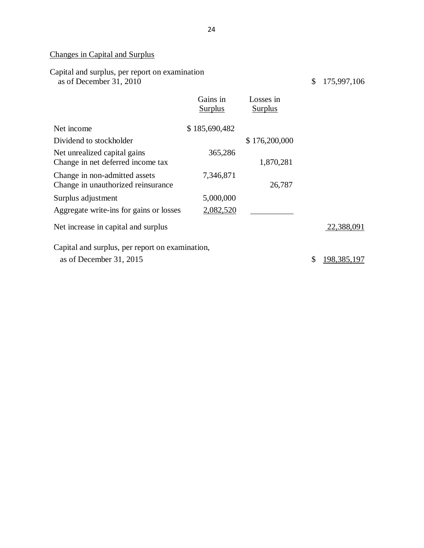#### Changes in Capital and Surplus

| Capital and surplus, per report on examination<br>as of December 31, 2010 |                            |                             | \$<br>175,997,106 |
|---------------------------------------------------------------------------|----------------------------|-----------------------------|-------------------|
|                                                                           | Gains in<br><b>Surplus</b> | Losses in<br><b>Surplus</b> |                   |
| Net income                                                                | \$185,690,482              |                             |                   |
| Dividend to stockholder                                                   |                            | \$176,200,000               |                   |
| Net unrealized capital gains                                              | 365,286                    |                             |                   |
| Change in net deferred income tax                                         |                            | 1,870,281                   |                   |
| Change in non-admitted assets<br>Change in unauthorized reinsurance       | 7,346,871                  | 26,787                      |                   |
| Surplus adjustment                                                        | 5,000,000                  |                             |                   |
| Aggregate write-ins for gains or losses                                   | 2,082,520                  |                             |                   |
| Net increase in capital and surplus                                       |                            |                             | 22,388,091        |
| Capital and surplus, per report on examination,                           |                            |                             |                   |
| as of December 31, 2015                                                   |                            |                             | \$<br>198,385,197 |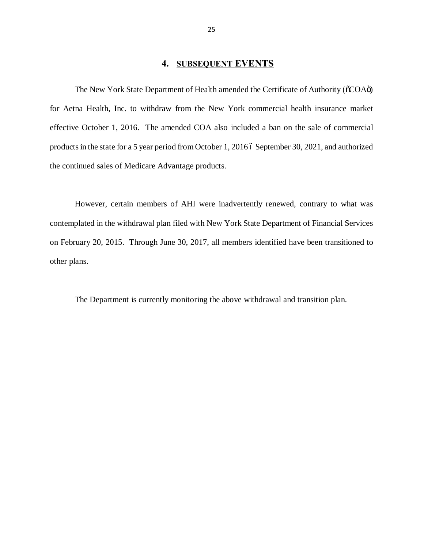## **4. SUBSEQUENT EVENTS**

The New York State Department of Health amended the Certificate of Authority ( $\delta CO$ Aö) for Aetna Health, Inc. to withdraw from the New York commercial health insurance market effective October 1, 2016. The amended COA also included a ban on the sale of commercial products in the state for a 5 year period from October 1, 2016 6 September 30, 2021, and authorized the continued sales of Medicare Advantage products.

 However, certain members of AHI were inadvertently renewed, contrary to what was contemplated in the withdrawal plan filed with New York State Department of Financial Services on February 20, 2015. Through June 30, 2017, all members identified have been transitioned to other plans.

<span id="page-26-0"></span>The Department is currently monitoring the above withdrawal and transition plan.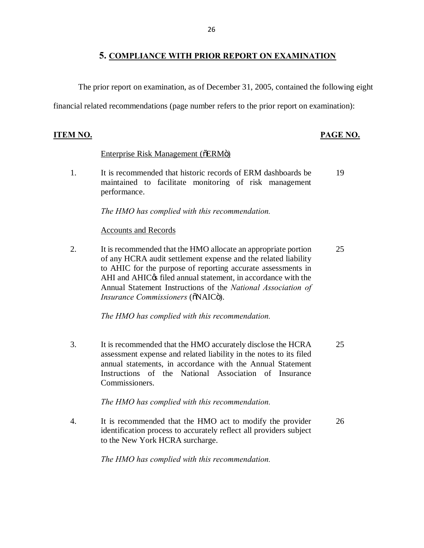## **5. COMPLIANCE WITH PRIOR REPORT ON EXAMINATION**

The prior report on examination, as of December 31, 2005, contained the following eight

financial related recommendations (page number refers to the prior report on examination):

## **ITEM NO. PAGE NO.**

## Enterprise Risk Management ( $\delta$ ERM $\ddot{o}$ )

 $1<sub>1</sub>$ It is recommended that historic records of ERM dashboards be maintained to facilitate monitoring of risk management performance. 19

*The HMO has complied with this recommendation.* 

#### Accounts and Records

 $2<sub>1</sub>$  of any HCRA audit settlement expense and the related liability to AHIC for the purpose of reporting accurate assessments in AHI and AHIC $\alpha$  filed annual statement, in accordance with the Annual Statement Instructions of the *National Association of*  It is recommended that the HMO allocate an appropriate portion *Insurance Commissioners* ( $\tilde{o}$ NAIC $\tilde{o}$ ). 25

*The HMO has complied with this recommendation.* 

3. assessment expense and related liability in the notes to its filed annual statements, in accordance with the Annual Statement Instructions of the National Association of Insurance It is recommended that the HMO accurately disclose the HCRA 25 Commissioners.

*The HMO has complied with this recommendation.* 

 $4.$  identification process to accurately reflect all providers subject to the New York HCRA surcharge. It is recommended that the HMO act to modify the provider 26

<span id="page-27-0"></span>*The HMO has complied with this recommendation.*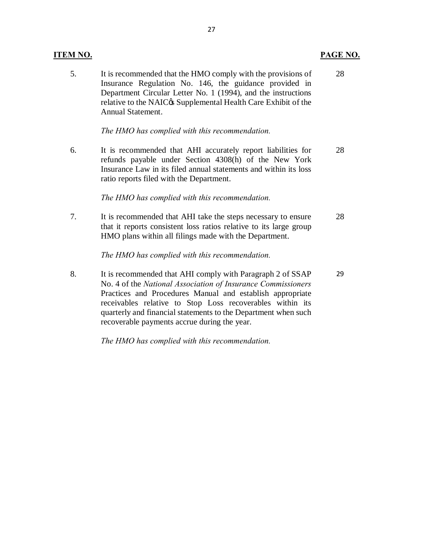| 5. | It is recommended that the HMO comply with the provisions of<br>Insurance Regulation No. 146, the guidance provided in<br>Department Circular Letter No. 1 (1994), and the instructions<br>relative to the NAIC& Supplemental Health Care Exhibit of the<br>Annual Statement.                                                                                          | 28 |
|----|------------------------------------------------------------------------------------------------------------------------------------------------------------------------------------------------------------------------------------------------------------------------------------------------------------------------------------------------------------------------|----|
|    | The HMO has complied with this recommendation.                                                                                                                                                                                                                                                                                                                         |    |
| 6. | It is recommended that AHI accurately report liabilities for<br>refunds payable under Section 4308(h) of the New York<br>Insurance Law in its filed annual statements and within its loss<br>ratio reports filed with the Department.                                                                                                                                  | 28 |
|    | The HMO has complied with this recommendation.                                                                                                                                                                                                                                                                                                                         |    |
| 7. | It is recommended that AHI take the steps necessary to ensure<br>that it reports consistent loss ratios relative to its large group<br>HMO plans within all filings made with the Department.                                                                                                                                                                          | 28 |
|    | The HMO has complied with this recommendation.                                                                                                                                                                                                                                                                                                                         |    |
| 8. | It is recommended that AHI comply with Paragraph 2 of SSAP<br>No. 4 of the National Association of Insurance Commissioners<br>Practices and Procedures Manual and establish appropriate<br>receivables relative to Stop Loss recoverables within its<br>quarterly and financial statements to the Department when such<br>recoverable payments accrue during the year. | 29 |

 *The HMO has complied with this recommendation.* 

## **ITEM NO.**

# **PAGE NO.**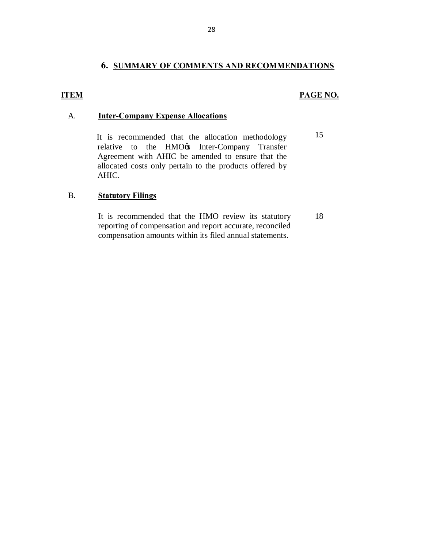## **6. SUMMARY OF COMMENTS AND RECOMMENDATIONS**

### **ITEM PAGE NO.**

## A. **Inter-Company Expense Allocations**

relative to the HMO $\&$  Inter-Company Transfer Agreement with AHIC be amended to ensure that the allocated costs only pertain to the products offered by It is recommended that the allocation methodology  $15$ AHIC.

## B. **Statutory Filings**

<span id="page-29-0"></span>It is recommended that the HMO review its statutory 18 reporting of compensation and report accurate, reconciled compensation amounts within its filed annual statements.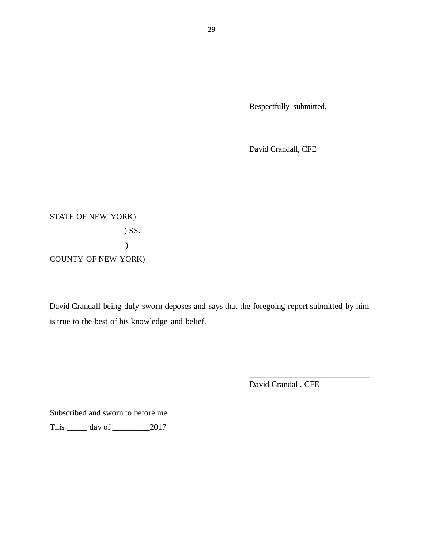Respectfully submitted,

David Crandall, CFE

 STATE OF NEW YORK) COUNTY OF NEW YORK) ) SS. )

 David Crandall being duly sworn deposes and says that the foregoing report submitted by him is true to the best of his knowledge and belief.

David Crandall, CFE

\_\_\_\_\_\_\_\_\_\_\_\_\_\_\_\_\_\_\_\_\_\_\_\_\_\_\_\_\_

 This \_\_\_\_\_ day of \_\_\_\_\_\_\_\_\_2017 Subscribed and sworn to before me